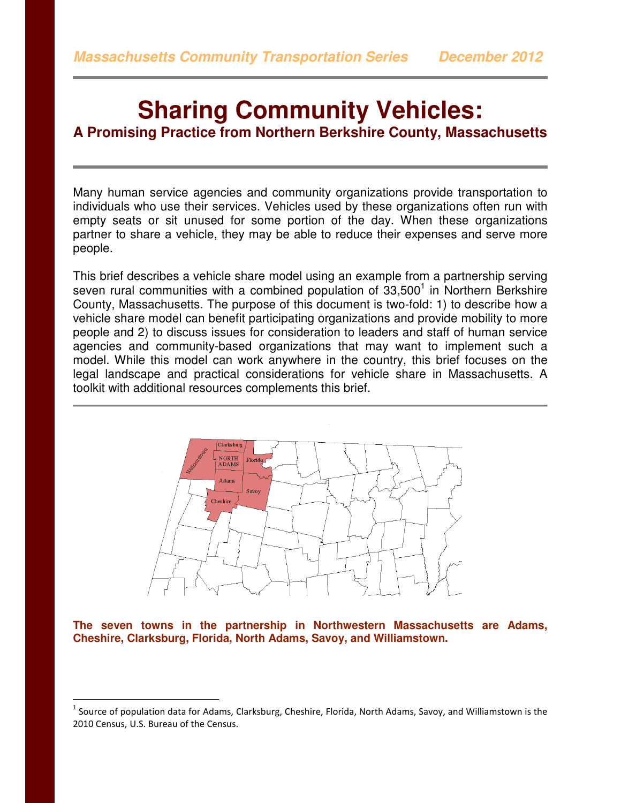# **Sharing Community Vehicles:**

**A Promising Practice from Northern Berkshire County, Massachusetts** 

Many human service agencies and community organizations provide transportation to individuals who use their services. Vehicles used by these organizations often run with empty seats or sit unused for some portion of the day. When these organizations partner to share a vehicle, they may be able to reduce their expenses and serve more people.

This brief describes a vehicle share model using an example from a partnership serving seven rural communities with a combined population of  $33,500<sup>1</sup>$  in Northern Berkshire County, Massachusetts. The purpose of this document is two-fold: 1) to describe how a vehicle share model can benefit participating organizations and provide mobility to more people and 2) to discuss issues for consideration to leaders and staff of human service agencies and community-based organizations that may want to implement such a model. While this model can work anywhere in the country, this brief focuses on the legal landscape and practical considerations for vehicle share in Massachusetts. A toolkit with additional resources complements this brief.



**The seven towns in the partnership in Northwestern Massachusetts are Adams, Cheshire, Clarksburg, Florida, North Adams, Savoy, and Williamstown.** 

 $\overline{a}$ 

 $^1$  Source of population data for Adams, Clarksburg, Cheshire, Florida, North Adams, Savoy, and Williamstown is the 2010 Census, U.S. Bureau of the Census.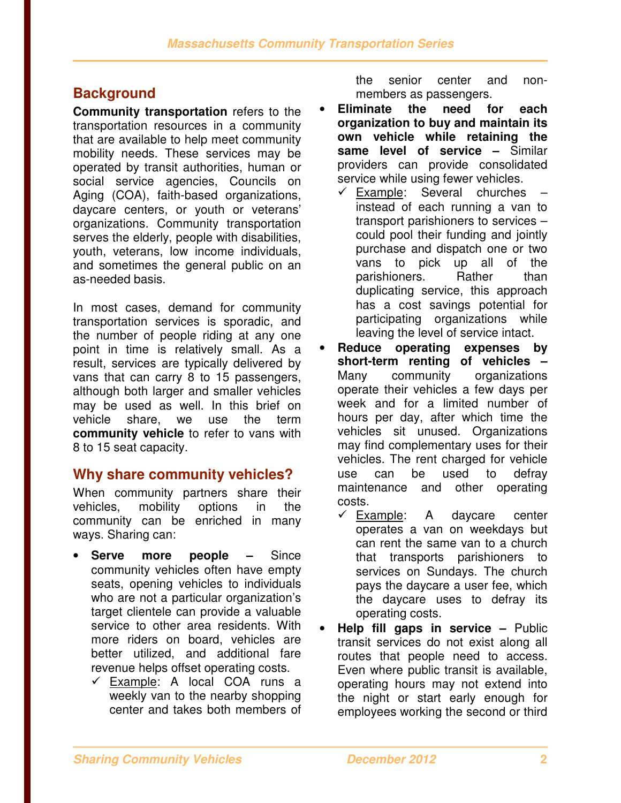# **Background**

**Community transportation** refers to the transportation resources in a community that are available to help meet community mobility needs. These services may be operated by transit authorities, human or social service agencies, Councils on Aging (COA), faith-based organizations, daycare centers, or youth or veterans' organizations. Community transportation serves the elderly, people with disabilities, youth, veterans, low income individuals, and sometimes the general public on an as-needed basis.

In most cases, demand for community transportation services is sporadic, and the number of people riding at any one point in time is relatively small. As a result, services are typically delivered by vans that can carry 8 to 15 passengers, although both larger and smaller vehicles may be used as well. In this brief on vehicle share, we use the term **community vehicle** to refer to vans with 8 to 15 seat capacity.

## **Why share community vehicles?**

When community partners share their vehicles, mobility options in the community can be enriched in many ways. Sharing can:

- **Serve more people –** Since community vehicles often have empty seats, opening vehicles to individuals who are not a particular organization's target clientele can provide a valuable service to other area residents. With more riders on board, vehicles are better utilized, and additional fare revenue helps offset operating costs.
	- $\checkmark$  Example: A local COA runs a weekly van to the nearby shopping center and takes both members of

the senior center and nonmembers as passengers.

- **Eliminate the need for each organization to buy and maintain its own vehicle while retaining the same level of service –** Similar providers can provide consolidated service while using fewer vehicles.
	- $\checkmark$  Example: Several churches instead of each running a van to transport parishioners to services – could pool their funding and jointly purchase and dispatch one or two vans to pick up all of the parishioners. Rather than duplicating service, this approach has a cost savings potential for participating organizations while leaving the level of service intact.
- **Reduce operating expenses by short-term renting of vehicles –** Many community organizations operate their vehicles a few days per week and for a limited number of hours per day, after which time the vehicles sit unused. Organizations may find complementary uses for their vehicles. The rent charged for vehicle use can be used to defray maintenance and other operating costs.
	- $\checkmark$  Example: A daycare center operates a van on weekdays but can rent the same van to a church that transports parishioners to services on Sundays. The church pays the daycare a user fee, which the daycare uses to defray its operating costs.
- **Help fill gaps in service** Public transit services do not exist along all routes that people need to access. Even where public transit is available, operating hours may not extend into the night or start early enough for employees working the second or third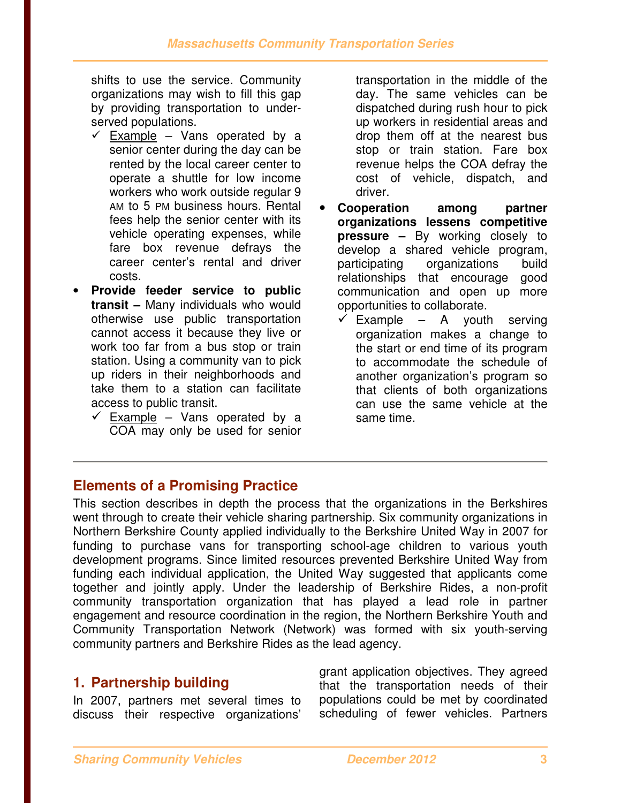shifts to use the service. Community organizations may wish to fill this gap by providing transportation to underserved populations.

- $\checkmark$  Example Vans operated by a senior center during the day can be rented by the local career center to operate a shuttle for low income workers who work outside regular 9 AM to 5 PM business hours. Rental fees help the senior center with its vehicle operating expenses, while fare box revenue defrays the career center's rental and driver costs.
- **Provide feeder service to public transit –** Many individuals who would otherwise use public transportation cannot access it because they live or work too far from a bus stop or train station. Using a community van to pick up riders in their neighborhoods and take them to a station can facilitate access to public transit.
	- $\checkmark$  Example Vans operated by a COA may only be used for senior

transportation in the middle of the day. The same vehicles can be dispatched during rush hour to pick up workers in residential areas and drop them off at the nearest bus stop or train station. Fare box revenue helps the COA defray the cost of vehicle, dispatch, and driver.

- **Cooperation among partner organizations lessens competitive pressure –** By working closely to develop a shared vehicle program, participating organizations build relationships that encourage good communication and open up more opportunities to collaborate.
	- $\checkmark$  Example A youth serving organization makes a change to the start or end time of its program to accommodate the schedule of another organization's program so that clients of both organizations can use the same vehicle at the same time.

# **Elements of a Promising Practice**

This section describes in depth the process that the organizations in the Berkshires went through to create their vehicle sharing partnership. Six community organizations in Northern Berkshire County applied individually to the Berkshire United Way in 2007 for funding to purchase vans for transporting school-age children to various youth development programs. Since limited resources prevented Berkshire United Way from funding each individual application, the United Way suggested that applicants come together and jointly apply. Under the leadership of Berkshire Rides, a non-profit community transportation organization that has played a lead role in partner engagement and resource coordination in the region, the Northern Berkshire Youth and Community Transportation Network (Network) was formed with six youth-serving community partners and Berkshire Rides as the lead agency.

# **1. Partnership building**

In 2007, partners met several times to discuss their respective organizations' grant application objectives. They agreed that the transportation needs of their populations could be met by coordinated scheduling of fewer vehicles. Partners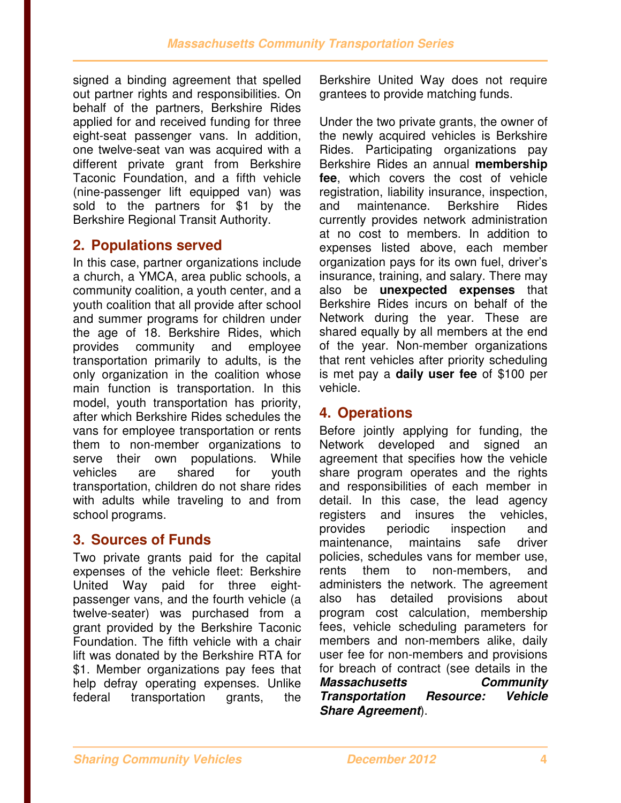signed a binding agreement that spelled out partner rights and responsibilities. On behalf of the partners, Berkshire Rides applied for and received funding for three eight-seat passenger vans. In addition, one twelve-seat van was acquired with a different private grant from Berkshire Taconic Foundation, and a fifth vehicle (nine-passenger lift equipped van) was sold to the partners for \$1 by the Berkshire Regional Transit Authority.

## **2. Populations served**

In this case, partner organizations include a church, a YMCA, area public schools, a community coalition, a youth center, and a youth coalition that all provide after school and summer programs for children under the age of 18. Berkshire Rides, which provides community and employee transportation primarily to adults, is the only organization in the coalition whose main function is transportation. In this model, youth transportation has priority, after which Berkshire Rides schedules the vans for employee transportation or rents them to non-member organizations to serve their own populations. While vehicles are shared for youth transportation, children do not share rides with adults while traveling to and from school programs.

# **3. Sources of Funds**

Two private grants paid for the capital expenses of the vehicle fleet: Berkshire United Way paid for three eightpassenger vans, and the fourth vehicle (a twelve-seater) was purchased from a grant provided by the Berkshire Taconic Foundation. The fifth vehicle with a chair lift was donated by the Berkshire RTA for \$1. Member organizations pay fees that help defray operating expenses. Unlike federal transportation grants, the

Berkshire United Way does not require grantees to provide matching funds.

Under the two private grants, the owner of the newly acquired vehicles is Berkshire Rides. Participating organizations pay Berkshire Rides an annual **membership fee**, which covers the cost of vehicle registration, liability insurance, inspection, and maintenance. Berkshire Rides currently provides network administration at no cost to members. In addition to expenses listed above, each member organization pays for its own fuel, driver's insurance, training, and salary. There may also be **unexpected expenses** that Berkshire Rides incurs on behalf of the Network during the year. These are shared equally by all members at the end of the year. Non-member organizations that rent vehicles after priority scheduling is met pay a **daily user fee** of \$100 per vehicle.

## **4. Operations**

Before jointly applying for funding, the Network developed and signed an agreement that specifies how the vehicle share program operates and the rights and responsibilities of each member in detail. In this case, the lead agency registers and insures the vehicles, provides periodic inspection and maintenance, maintains safe driver policies, schedules vans for member use, rents them to non-members, and administers the network. The agreement also has detailed provisions about program cost calculation, membership fees, vehicle scheduling parameters for members and non-members alike, daily user fee for non-members and provisions for breach of contract (see details in the **Massachusetts Community Transportation Resource: Vehicle Share Agreement**).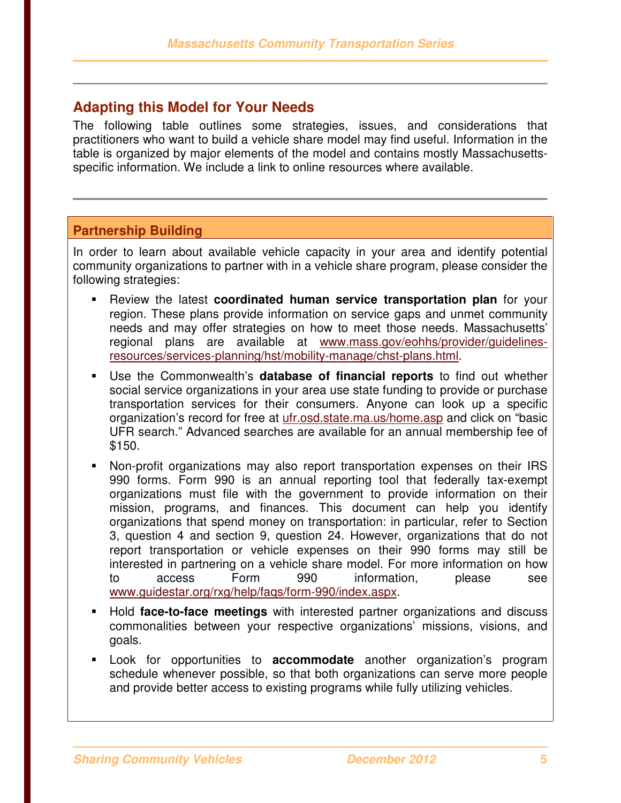## **Adapting this Model for Your Needs**

The following table outlines some strategies, issues, and considerations that practitioners who want to build a vehicle share model may find useful. Information in the table is organized by major elements of the model and contains mostly Massachusettsspecific information. We include a link to online resources where available.

#### **Partnership Building**

In order to learn about available vehicle capacity in your area and identify potential community organizations to partner with in a vehicle share program, please consider the following strategies:

- - Review the latest **coordinated human service transportation plan** for your region. These plans provide information on service gaps and unmet community needs and may offer strategies on how to meet those needs. Massachusetts' regional plans are available at www.mass.gov/eohhs/provider/guidelinesresources/services-planning/hst/mobility-manage/chst-plans.html.
- Use the Commonwealth's **database of financial reports** to find out whether social service organizations in your area use state funding to provide or purchase transportation services for their consumers. Anyone can look up a specific organization's record for free at ufr.osd.state.ma.us/home.asp and click on "basic UFR search." Advanced searches are available for an annual membership fee of \$150.
- Non-profit organizations may also report transportation expenses on their IRS 990 forms. Form 990 is an annual reporting tool that federally tax-exempt organizations must file with the government to provide information on their mission, programs, and finances. This document can help you identify organizations that spend money on transportation: in particular, refer to Section 3, question 4 and section 9, question 24. However, organizations that do not report transportation or vehicle expenses on their 990 forms may still be interested in partnering on a vehicle share model. For more information on how to access Form 990 information, please see www.guidestar.org/rxg/help/faqs/form-990/index.aspx.
- Hold **face-to-face meetings** with interested partner organizations and discuss commonalities between your respective organizations' missions, visions, and goals.
- Look for opportunities to **accommodate** another organization's program schedule whenever possible, so that both organizations can serve more people and provide better access to existing programs while fully utilizing vehicles.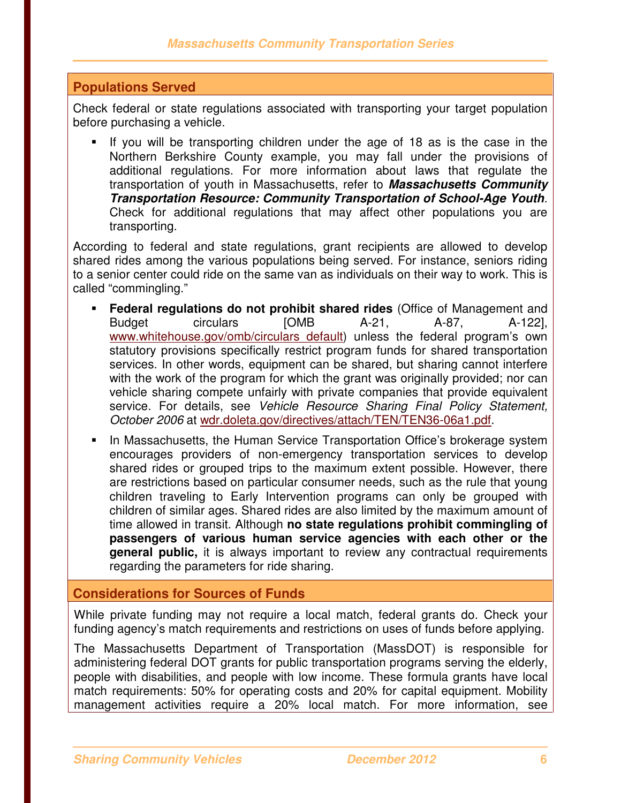#### **Populations Served**

Check federal or state regulations associated with transporting your target population before purchasing a vehicle.

- If you will be transporting children under the age of 18 as is the case in the Northern Berkshire County example, you may fall under the provisions of additional regulations. For more information about laws that regulate the transportation of youth in Massachusetts, refer to **Massachusetts Community Transportation Resource: Community Transportation of School-Age Youth**. Check for additional regulations that may affect other populations you are transporting.

According to federal and state regulations, grant recipients are allowed to develop shared rides among the various populations being served. For instance, seniors riding to a senior center could ride on the same van as individuals on their way to work. This is called "commingling."

- **Federal regulations do not prohibit shared rides** (Office of Management and Budget circulars [OMB A-21, A-87, A-122], www.whitehouse.gov/omb/circulars default) unless the federal program's own statutory provisions specifically restrict program funds for shared transportation services. In other words, equipment can be shared, but sharing cannot interfere with the work of the program for which the grant was originally provided; nor can vehicle sharing compete unfairly with private companies that provide equivalent service. For details, see Vehicle Resource Sharing Final Policy Statement, October 2006 at wdr.doleta.gov/directives/attach/TEN/TEN36-06a1.pdf.
- - In Massachusetts, the Human Service Transportation Office's brokerage system encourages providers of non-emergency transportation services to develop shared rides or grouped trips to the maximum extent possible. However, there are restrictions based on particular consumer needs, such as the rule that young children traveling to Early Intervention programs can only be grouped with children of similar ages. Shared rides are also limited by the maximum amount of time allowed in transit. Although **no state regulations prohibit commingling of passengers of various human service agencies with each other or the general public,** it is always important to review any contractual requirements regarding the parameters for ride sharing.

#### **Considerations for Sources of Funds**

While private funding may not require a local match, federal grants do. Check your funding agency's match requirements and restrictions on uses of funds before applying.

The Massachusetts Department of Transportation (MassDOT) is responsible for administering federal DOT grants for public transportation programs serving the elderly, people with disabilities, and people with low income. These formula grants have local match requirements: 50% for operating costs and 20% for capital equipment. Mobility management activities require a 20% local match. For more information, see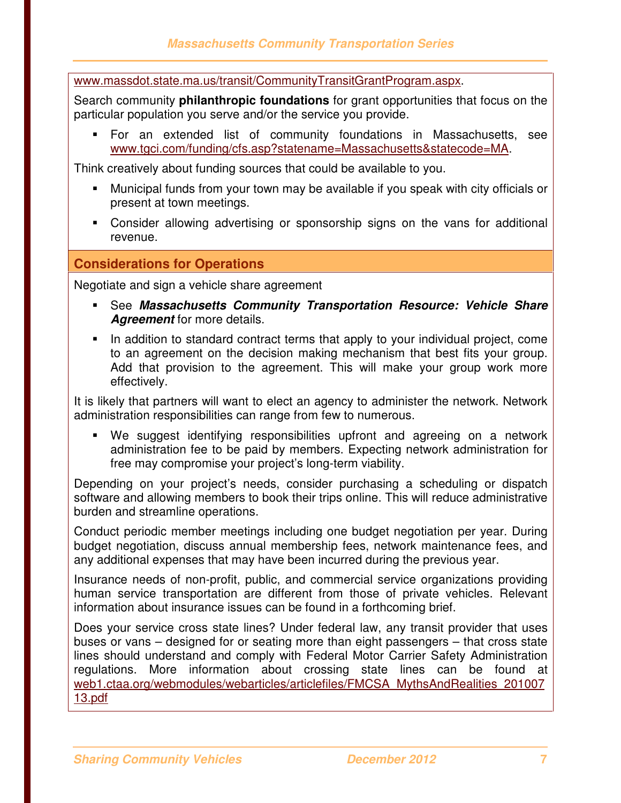www.massdot.state.ma.us/transit/CommunityTransitGrantProgram.aspx.

Search community **philanthropic foundations** for grant opportunities that focus on the particular population you serve and/or the service you provide.

- For an extended list of community foundations in Massachusetts, see www.tgci.com/funding/cfs.asp?statename=Massachusetts&statecode=MA.

Think creatively about funding sources that could be available to you.

- - Municipal funds from your town may be available if you speak with city officials or present at town meetings.
- **-** Consider allowing advertising or sponsorship signs on the vans for additional revenue.

#### **Considerations for Operations**

Negotiate and sign a vehicle share agreement

- See **Massachusetts Community Transportation Resource: Vehicle Share Agreement** for more details.
- In addition to standard contract terms that apply to your individual project, come to an agreement on the decision making mechanism that best fits your group. Add that provision to the agreement. This will make your group work more effectively.

It is likely that partners will want to elect an agency to administer the network. Network administration responsibilities can range from few to numerous.

- We suggest identifying responsibilities upfront and agreeing on a network administration fee to be paid by members. Expecting network administration for free may compromise your project's long-term viability.

Depending on your project's needs, consider purchasing a scheduling or dispatch software and allowing members to book their trips online. This will reduce administrative burden and streamline operations.

Conduct periodic member meetings including one budget negotiation per year. During budget negotiation, discuss annual membership fees, network maintenance fees, and any additional expenses that may have been incurred during the previous year.

Insurance needs of non-profit, public, and commercial service organizations providing human service transportation are different from those of private vehicles. Relevant information about insurance issues can be found in a forthcoming brief.

Does your service cross state lines? Under federal law, any transit provider that uses buses or vans – designed for or seating more than eight passengers – that cross state lines should understand and comply with Federal Motor Carrier Safety Administration regulations. More information about crossing state lines can be found at web1.ctaa.org/webmodules/webarticles/articlefiles/FMCSA\_MythsAndRealities\_201007 13.pdf